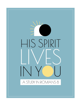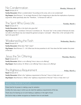## No Condemnation

Read: Romans 8:1-4

Family Discussion: What is condemnation? According to this verse, who is not condemned?

Dig Deeper: Read Romans 7. As we begin Romans 8, Paul is beginning to describe the implications of previous arguments. What specifically does the "Therefore…" in Romans 8:1 refer to?

## The Spirit Who Gives Life

Read: Romans 8:1-4

Family Discussion: Who is the Spirit who gives life?

Dig Deeper: Read 1 Corinthians 15:45 and 2 Corinthians 3:6. The word "law" in the context of Romans 8:2 does not refer to the Mosaic law, but instead the general concept or "principle". What, then, is the "principle of the Spirit who gives life"?

## Weakened by the Flesh

Read: Romans 8:1-4

Family Discussion: What does "flesh" mean?

**Dig Deeper:** Read Romans 7:1 – 8:4. What was the law powerless to do? How does the flesh weaken the power of the law?

## Jesus, the Sin Offering

Read: Romans 8:1-4 Family Discussion: What is a sin offering? How is Jesus a sin offering? Dig Deeper: Read Leviticus 16. What is a sin offering? How is Jesus a sin offering?

## The Righteous Requirement

Read: Romans 8:1-4

Family Discussion: What is the "righteous requirement of the law"? How is it fully met in us? Dig Deeper: Read Romans 3. What is the "righteous requirement of the law"? How is it fully met in us?

#### WEEKLY PRAYER FOCUS

Praise God for his power in making a way for salvation.

Confess the many ways in which you do meet the righteous requirements of the law.

Thank Jesus for bearing our sin and making us righteous in the sight of God.

Ask God to help us better recognize our freedom from sin and death.

#### Monday, February 28

Wednesday, March 2

Friday, March 4

Thursday, March 3

Tuesday, March 1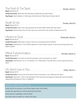#### The Flesh & The Spirit Read: Romans 8:5-8

Family Discussion: What does the flesh desire? What does the Spirit desire? Dig Deeper: Read Galatians 5. What does the flesh desire? What does the Spirit desire?

## Death & Life

Read: Romans 8:5-8 Family Discussion: Why is the mind governed by the flesh death? What does that mean? Dig Deeper: Read Deuteronomy 30. How does one choose life in the context of Deuteronomy 30?

#### Hostile to God Read: Romans 8:5-8

Family Discussion: What does it mean to have your mind governed by the flesh?

Dig Deeper: Read Romans 1:18-32. What sequence of events leads a person to do the very things they know deserve death?

## Mind Transformation

Read: Romans 8:5-9

Family Discussion: If we want to have life and peace, who must govern our mind?

Dig Deeper: Read Romans 12:1-2, 2 Corinthians 5:3-5. What does it look like when a mind is governed by the Spirit?

His Spirit Lives in You

Read: Romans 8:9-11

Family Discussion: How do you know that the Spirit of God lives in you? What are the signs?

**Dig Deeper:** Read Acts 2. How is the indwelling of the Holy Spirit we experience today like what the apostles experienced at Pentecost? How is it different?

## / PRAYER FOC

Praise God for his dominion over life and death; peace and hostility.

Confess the ways that your mind is governed by the flesh.

Thank Jesus for indwelling us with his Spirit.

Ask God to help us submit our minds to the Spirit.

Tuesday, March 8

Wednesday, March 9

Thursday, March 10

Friday, March 11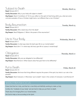# Subject to Death

Read: Romans 8:9-11

Family Discussion: Why is your body still subject to death?

Dig Deeper: Read 2 Corinthians 4:7-18. As you reflect on the spirit of God living within you, what are some concrete examples of how a Christian might look or act different than a non-Christian?

## **Body Resurrection**

Read: Romans 8:9-11 Family Discussion: Who raised Jesus from the dead? Dig Deeper: Read Philippians 3. What is the power of the resurrection?

Read: Romans 8:9-11 Family Discussion: In what ways does the Spirit give life to our mortal bodies? Dig Deeper: Read John 11. In what ways did Jesus give life to Lazarus's mortal body?

## )bligation

Read: Romans 8:9-13 Family Discussion: Why are we obligated to live differently? Dig Deeper: Read Romans 6. What reasons does Paul give here to live differently?

## Put to Death

Read: Romans 8:12-13

Family Discussion: We know that living different requires the power of the spirit, but what is our role in the process?

Dig Deeper: Read Colossians 3. What does "put to death" mean in the context of Colossians 3 and Romans 8?

## WEEKLY PRAYER FOCUS

Praise God that he is holy, and that he is mercifully and faithfully working to make us holy.

Confess the "misdeeds of your body" and ask God to help you put them to death.

Thank Jesus for bringing life to our mortal bodies.

Ask God to help us live according to the Spirit.

Tuesday, March 15

Thursday, March 17

Friday, March 18

Wednesday, March 16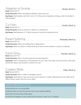# Adoption to Sonship

Read: Romans 8:14-17

**Family Discussion:** What is the difference between a slave and a son?

Dig Deeper: Read Galatians 3:26-29 & 1 John 3:1-10. What are the implications of being a child of God listed in these passages?

 $Co-Heirs$ 

Read: Romans 8:14-17 Family Discussion: What are we heirs to? (What is our inheritance?) Dig Deeper: Read Ephesians 3:1-13. Which promises of God are the Gentiles heirs to?

## Present Suffering

Read: Romans 8:17-18

Family Discussion: What is the suffering Paul is talking about?

Dig Deeper: Read 2 Corinthians 4. What should we do when we find ourselves in a season of suffering?

Future Glory

Thursday, March 24

Friday, March 25

Wednesday, March 23

Read: Romans 8:17-18

Family Discussion: What is the future glory that we look forward to?

Dig Deeper: Read 1 Thessalonians 4:13-18; Revelation 21:1-22:5. Why is the reality of the resurrection of the body, and the new heaven and new earth a comfort to us now?

Creation Waits

Read: Romans 8:19-21

Family Discussion: Why is creation in bondage to decay?

Dig Deeper: Read Genesis 3. How was the non-human portions of creation affected by the curse? What will be different about creation when the curse is lifted?

## ·FKI Y PRAYFR FC)

Praise God that he is our loving Father.

Confess the times you have focused too much on your present suffering.

Thank Jesus for the promise of future glory.

Ask God for his kingdom to come, and his will to be done; on earth, as it is in Heaven.



Tuesday, March 22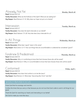## Already, Not Yet

Read: Romans 8:22-24

Family Discussion: What are the firstfruits of the Spirit? What are we waiting for? Dig Deeper: Read Romans 5:1-10. Why does our hope not put us to shame?

#### Intercession

Read: Romans 8:26-27 Family Discussion: How does the Spirit intercede on our behalf? Dig Deeper: Read Hebrews 7:11-28. How else does Jesus intercede for us?

## In All Things

Read: Romans 8:28 Family Discussion: What does "good" mean in this verse? Dig Deeper: Read James 1:2-17. How can things that are uncomfortable or undesired be considered "good"?

## Foreknew & Predestined

Read: Romans 8:28-30 Family Discussion: Why is it comforting to know that God chooses those who will be saved? Dig Deeper: Read Romans 9. Why is it uncomfortable to know that God chooses those who will be saved?

## Conformed

Read: Romans 8:28-30 Family Discussion: How does God conform us to be like Jesus? Dig Deeper: Read Romans 12. What does "becoming like Christ" look like?

Praise God that he sovereign and merciful.

Confess the times that you worry or fear because you do not trust that God is able to work in all things for our good.

Thank the Spirit for searching our hearts and interceding on our behalf.

Ask God to make you more like Jesus.

Tuesday, March 29

Wednesday, March 30

Thursday, March 31

Friday, April 1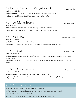# Predestined, Called, Justified, Glorified

Read: Romans 8:28-30

**Family Discussion:** Can anyone try to call on the name of the Lord and be denied? Dig Deeper: Read 2 Thessalonians 1. What does it mean to be glorified?

## No More Mortal Enemies

Read: Romans 8:31 Family Discussion: Why does the work of Jesus help us not fear enemies? Dig Deeper: Read Revelation 12:1-12. If Satan's defeat is sure, what else have we to fear?

## No More Need

Read: Romans 8:31-32 Family Discussion: What does "all things" mean here? Dig Deeper: Read Ephesians 1:1-14. What spiritual blessings have we been given in Christ?

## No More Guilt

Read: Romans 8:31-33

Family Discussion: Sometimes we feel quilt from "charges" being brought against us. What is the source of those charges?

Dig Deeper: Read 1 Peter 5:8-10. What should you do if you are feeling quilty because of accusations of the enemy?

## No More Condemnation

Read: Romans 8:31-34

Family Discussion: Why do we no longer have to fear condemnation?

Dig Deeper: Read Romans 8. For what reasons can Christians rejoice with certainty that they will never be condemned?

#### 'KI Y PRAYFR FOCUS

Praise God that he is the author and perfector of our salvation.

Confess the times you have let the accusations of the enemy lead you to doubt the gospel.

Thank Jesus for interceding on our behalf!

Ask God to increase your joy by deepening your understanding of the gospel.

Thursday, April 7

Tuesday, April 5

Wednesday, April 6

Friday, April 8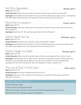## No More Separation

Read: Romans 8:31-35

Family Discussion: What causes you to fear? How does the love of Jesus comfort you in that fear?

Dig Deeper: Read Matthew 26:36-46, Mark 14:32-42, Luke 22:39-46. Read these accounts of Jesus in Gethsemane and reflect: What trials did Jesus face that (because of Jesus's sacrifice) we will never have to?

## More than Conquerors

Read: Romans 8:31-37

Family Discussion: What type sufferings do we face today? How does the love of Jesus help us to be "more than conquerors"?

Dig Deeper: Read Psalm 44. Why does Paul quote Psalm 44 here in Romans 8?

## Neither Death Nor Life

Read: Romans 8:37-38

Family Discussion: How does Jesus's sacrifice conquer the separation of death?

Dig Deeper: Read Matthew 27:45-56, Mark 15:21-32, Luke 23:26-49: Read these accounts of the death of Jesus and reflect: Which aspects of the cross did Jesus face that we will never have to?

#### Neither Height nor Depth

Read: Romans 8:37-39

Family Discussion: What are some things that make us feel like we are separated from the love of Jesus?

Dig Deeper: Read Matthew 27:57-61, Mark 15:42-47, Luke 23:50-57. Read these accounts of the burial of Jesus and reflect: Jesus descended into the depths of the earth and was buried in a tomb. His disciples were separated from him…but for the last time. Why is the separation of death so painful to us?

## The Love of God, in Christ Jesus

Read: Romans 8:37-39

Family Discussion: How does God demonstrate his love for us?

Dig Deeper: Read John 3:1-20. Compare and contrast Jesus's conversation with Nicodemus with Paul's argument in Romans 8.

Praise God that he is loving!

Confess the times you have given into fear.

Thank Jesus for dying on the cross so that we would never be separated from the love of God.

Ask God to help us be "more than conquerors" through him.

#### Monday, April 11

Thursday, April 14

Wednesday, April 13

Friday, April 15

Tuesday, April 12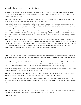## Family Discussion Cheat Sheet

February 28: Condemnation is the act of declaring something wrong, evil or guilty. Earlier in Romans, Paul argues that all people have broken God's laws, and there for everyone is condemned to die. But because of Jesus, those who are in Christ Jesus are no longer condemned.

March 1: The Spirit who gives life is the Holy Spirit. There is one God, and three persons: the Father, the Son, and the Holy Spirit. Those who believe in Jesus have the Holy Spirit living inside of them.

March 2: Flesh can just mean our physical bodies, but in these verses, it refers to the sinful nature. Without Jesus, we would be slaves to sin and only love and worship other gods besides the true God. After we are saved, our hearts are changed but our flesh is the part of us that still wants to disobey God.

March 3: In the Old Testament, the people of God would kill an animal as a special offering to pay for their sin. Unless an animal was killed and offered to God in a specific way, God would not forgive them. Jesus is the Lamb of God that takes away the sin of the world. Instead of an animal dying for us, God himself sent his Son to die on the cross and take the punishment we deserved.

March 4: Jesus sums up the law this way: "to love the Lord, our God, with all our hearts, with all our souls, and with all our might, and to love our neighbor as yourself." All of us have broken God's law and deserve punishment. Everyone has failed to love God and neighbor perfectly through life – except Jesus. Jesus lived a perfect life and then took our punishment and died on the cross. Our guilt was placed on his account, and his righteousness was placed on our account. The righteous requirement of the law is fully met in us because Jesus met it, and now his Spirit lives in us.

March 7: The flesh desires anything and everything but God. Even good things, like friends, food, comfort, and possessions, can be idolatrous when we love it more than we love God. The Spirit desires that we find our full and complete satisfaction in God alone.

March 8: Even though the actions of disobedience are harmful, the flesh continues to pursue them. When the flesh gets it's own way, it will bring us deeper and deeper into sin, and we will be miserable. A life lived for God might be uncomfortable right now, but it is worth it in the end. But a life lived for the flesh is a punishment in this life, and eternity.

March 9: The mind governed by the flesh is a mind that is set on disobeying God – even to it's own detriment. Without Christ, it is impossible to obey God. We need his grace to do what is right.

March 10: Instead of being conformed to the pattern of this world, we need to be transformed by the renewing of our minds. We need to take our thoughts and make them obey Jesus. We need the Spirit to govern our minds.

March 11: If the Spirit lives in us, we may not see immediate perfection, but we should see increased victory over sin. We should see the fruits of the Spirit (read Galatians 5 for the list!) in us. We should be acting, thinking, and loving more like Jesus did.

March 14: Your body is still subject to death because we are still living in a fallen world. When Adam and Eve at the forbidden fruit, all of creation was put under a curse. We are all destined to die because of our sin.

March 15: God did.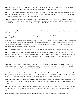March 16: The Spirit resurrects our spirits so that we can say "no" to the flesh and withstand temptation. Instead of being dead in our sins, we are alive in Christ. And one day, God will resurrect our physical bodies, too.

March 17: Our obligation to live for God instead of for the flesh comes from our redemption. We were once slaves to sin and were mastered by the flesh. But now, we have been set free and redeemed (bought back) to serve God. He is now our new King, and our allegiance is now to his Kingdom, not our own.

March 18: The words "put to death" help us understand that we have an active role in becoming more like Christ. We need the Spirit's power to do it, but we still participate by taking our disobedient thoughts, actions, and loves, and submitting them to God. We kill these parts of our character and put on the fruits of the Spirit.

March 21: A slave works for the Master, but does not inherit the Master's riches. A son is loved by the Master and is an heir to all that the Master has.

March 22: We get it all! We receive every spiritual blessing in Christ, and we are heirs to the promises God made to the children of Abraham.

March 23: Life is full of different kinds of suffering, large and small. Some suffering comes from the curse of sin – like sickness, injury or grief. We can also suffer from the consequences of our own actions, like when the nation of Israel was taken into exile as punishment for their disobedience to God. We can even suffer because we are doing the right thing – like those who were persecuted for their belief in Jesus and martyred.

March 24: We look forward to the resurrection of our bodies, and the establishment of the new Heaven and new Earth!

March 25: Creation is continually in a state of decay because of the curse. After Adam and Eve disobediently ate the fruit, God placed all of creation (that is, the world and everything in it) under a curse so that it would experience decay, disruption, and entropy. One day, those in Christ will experience a new creation that will be beautiful, healthy, and untouched by sin.

March 28: The Spirit living in us is a foretaste of the future resurrection we will one day experience. We aren't completely sinless yet, but we are already free from sin's bondage. We are waiting for a future in which we will be able to serve God perfectly, without any sin at all. Our bodies will be resurrected and redeemed so that we no longer will be at war with our flesh.

March 29: When we don't know what to pray for, the Spirit speaks with God for us. We might even just groan or cry – but the Holy Spirit knows us so well, and knows God so well, he is able to pray for us, or even help us find the words to pray. For this reason, you never need to fear that your words are good enough. The Holy Spirit will intercede for you!

March 30: "Good" in this verse means that God works in all things to make us more like Jesus. It might be uncomfortable, it might be undesirable to us – but God uses it to make us conform better to the image of his Son Jesus, and that is for our ultimate good.

March 31: It is good to know and trust that God chooses who will be saved because we need to understand that it does not depend on any good that we have done. Jesus does it all. There is nothing we can do or not do that will earn or lose God's favor.

April 1: God uses all sorts of life circumstances – both blessing and suffering – to change us from the inside out.